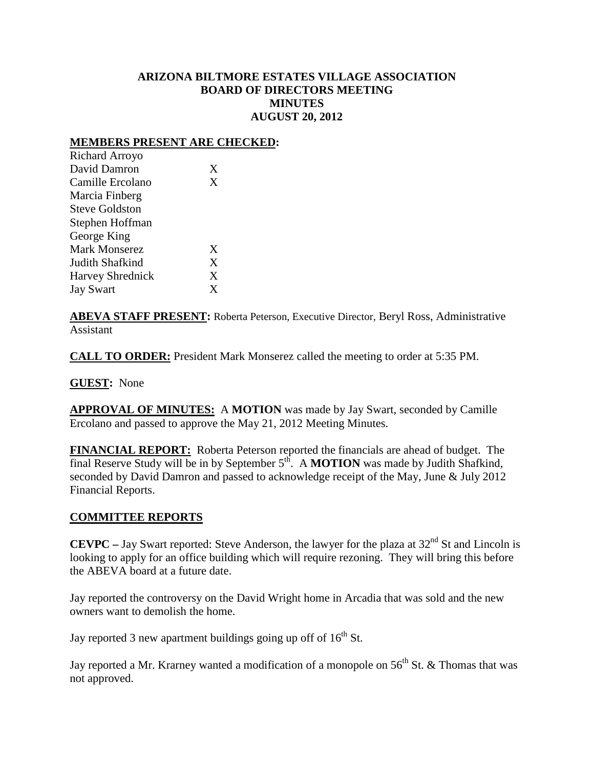## **ARIZONA BILTMORE ESTATES VILLAGE ASSOCIATION BOARD OF DIRECTORS MEETING MINUTES AUGUST 20, 2012**

### **MEMBERS PRESENT ARE CHECKED:**

| X           |
|-------------|
| X           |
|             |
|             |
|             |
|             |
| X           |
| X           |
| X           |
| $\mathbf x$ |
|             |

**ABEVA STAFF PRESENT:** Roberta Peterson, Executive Director, Beryl Ross, Administrative Assistant

**CALL TO ORDER:** President Mark Monserez called the meeting to order at 5:35 PM.

**GUEST:** None

**APPROVAL OF MINUTES:** A **MOTION** was made by Jay Swart, seconded by Camille Ercolano and passed to approve the May 21, 2012 Meeting Minutes.

**FINANCIAL REPORT:** Roberta Peterson reported the financials are ahead of budget. The final Reserve Study will be in by September 5<sup>th</sup>. A **MOTION** was made by Judith Shafkind, seconded by David Damron and passed to acknowledge receipt of the May, June & July 2012 Financial Reports.

#### **COMMITTEE REPORTS**

**CEVPC** – Jay Swart reported: Steve Anderson, the lawyer for the plaza at  $32<sup>nd</sup>$  St and Lincoln is looking to apply for an office building which will require rezoning. They will bring this before the ABEVA board at a future date.

Jay reported the controversy on the David Wright home in Arcadia that was sold and the new owners want to demolish the home.

Jay reported 3 new apartment buildings going up off of  $16<sup>th</sup>$  St.

Jay reported a Mr. Krarney wanted a modification of a monopole on  $56<sup>th</sup>$  St. & Thomas that was not approved.